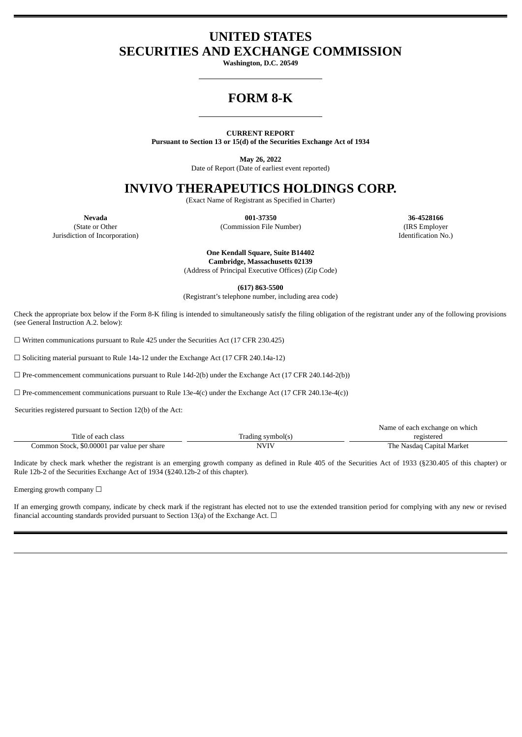## **UNITED STATES SECURITIES AND EXCHANGE COMMISSION**

**Washington, D.C. 20549**

# **FORM 8-K**

#### **CURRENT REPORT**

**Pursuant to Section 13 or 15(d) of the Securities Exchange Act of 1934**

**May 26, 2022**

Date of Report (Date of earliest event reported)

### **INVIVO THERAPEUTICS HOLDINGS CORP.**

(Exact Name of Registrant as Specified in Charter)

**Nevada 001-37350 36-4528166**

(State or Other (Commission File Number) (IRS Employer Jurisdiction of Incorporation) Identification No.)

> **One Kendall Square, Suite B14402 Cambridge, Massachusetts 02139**

(Address of Principal Executive Offices) (Zip Code)

**(617) 863-5500**

(Registrant's telephone number, including area code)

Check the appropriate box below if the Form 8-K filing is intended to simultaneously satisfy the filing obligation of the registrant under any of the following provisions (see General Instruction A.2. below):

☐ Written communications pursuant to Rule 425 under the Securities Act (17 CFR 230.425)

☐ Soliciting material pursuant to Rule 14a-12 under the Exchange Act (17 CFR 240.14a-12)

 $\Box$  Pre-commencement communications pursuant to Rule 14d-2(b) under the Exchange Act (17 CFR 240.14d-2(b))

 $\Box$  Pre-commencement communications pursuant to Rule 13e-4(c) under the Exchange Act (17 CFR 240.13e-4(c))

Securities registered pursuant to Section 12(b) of the Act:

|                                             |                   | Name of each exchange on which |
|---------------------------------------------|-------------------|--------------------------------|
| Title of each class                         | Trading symbol(s) | registered                     |
| Common Stock, \$0.00001 par value per share | NVIV              | The Nasdaq Capital Market      |

Indicate by check mark whether the registrant is an emerging growth company as defined in Rule 405 of the Securities Act of 1933 (§230.405 of this chapter) or Rule 12b-2 of the Securities Exchange Act of 1934 (§240.12b-2 of this chapter).

Emerging growth company  $\Box$ 

If an emerging growth company, indicate by check mark if the registrant has elected not to use the extended transition period for complying with any new or revised financial accounting standards provided pursuant to Section 13(a) of the Exchange Act.  $\Box$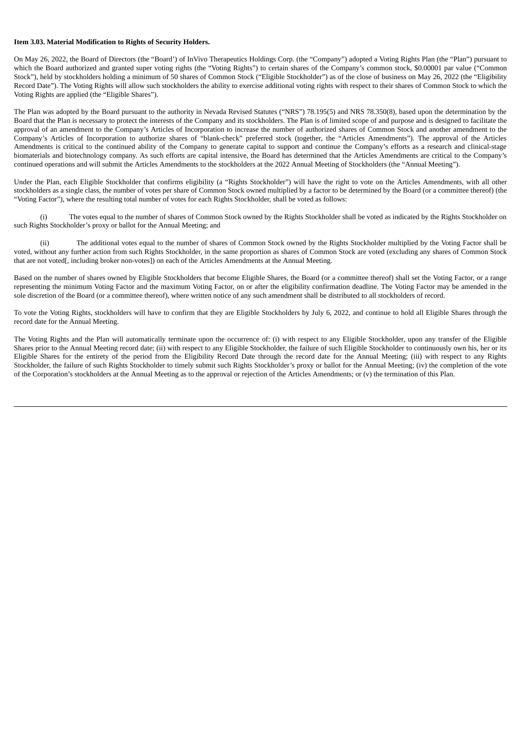#### **Item 3.03. Material Modification to Rights of Security Holders.**

On May 26, 2022, the Board of Directors (the "Board') of InVivo Therapeutics Holdings Corp. (the "Company") adopted a Voting Rights Plan (the "Plan") pursuant to which the Board authorized and granted super voting rights (the "Voting Rights") to certain shares of the Company's common stock, \$0.00001 par value ("Common Stock"), held by stockholders holding a minimum of 50 shares of Common Stock ("Eligible Stockholder") as of the close of business on May 26, 2022 (the "Eligibility Record Date"). The Voting Rights will allow such stockholders the ability to exercise additional voting rights with respect to their shares of Common Stock to which the Voting Rights are applied (the "Eligible Shares").

The Plan was adopted by the Board pursuant to the authority in Nevada Revised Statutes ("NRS") 78.195(5) and NRS 78.350(8), based upon the determination by the Board that the Plan is necessary to protect the interests of the Company and its stockholders. The Plan is of limited scope of and purpose and is designed to facilitate the approval of an amendment to the Company's Articles of Incorporation to increase the number of authorized shares of Common Stock and another amendment to the Company's Articles of Incorporation to authorize shares of "blank-check" preferred stock (together, the "Articles Amendments"). The approval of the Articles Amendments is critical to the continued ability of the Company to generate capital to support and continue the Company's efforts as a research and clinical-stage biomaterials and biotechnology company. As such efforts are capital intensive, the Board has determined that the Articles Amendments are critical to the Company's continued operations and will submit the Articles Amendments to the stockholders at the 2022 Annual Meeting of Stockholders (the "Annual Meeting").

Under the Plan, each Eligible Stockholder that confirms eligibility (a "Rights Stockholder") will have the right to vote on the Articles Amendments, with all other stockholders as a single class, the number of votes per share of Common Stock owned multiplied by a factor to be determined by the Board (or a committee thereof) (the "Voting Factor"), where the resulting total number of votes for each Rights Stockholder, shall be voted as follows:

(i) The votes equal to the number of shares of Common Stock owned by the Rights Stockholder shall be voted as indicated by the Rights Stockholder on such Rights Stockholder's proxy or ballot for the Annual Meeting; and

(ii) The additional votes equal to the number of shares of Common Stock owned by the Rights Stockholder multiplied by the Voting Factor shall be voted, without any further action from such Rights Stockholder, in the same proportion as shares of Common Stock are voted (excluding any shares of Common Stock that are not voted[, including broker non-votes]) on each of the Articles Amendments at the Annual Meeting.

Based on the number of shares owned by Eligible Stockholders that become Eligible Shares, the Board (or a committee thereof) shall set the Voting Factor, or a range representing the minimum Voting Factor and the maximum Voting Factor, on or after the eligibility confirmation deadline. The Voting Factor may be amended in the sole discretion of the Board (or a committee thereof), where written notice of any such amendment shall be distributed to all stockholders of record.

To vote the Voting Rights, stockholders will have to confirm that they are Eligible Stockholders by July 6, 2022, and continue to hold all Eligible Shares through the record date for the Annual Meeting.

The Voting Rights and the Plan will automatically terminate upon the occurrence of: (i) with respect to any Eligible Stockholder, upon any transfer of the Eligible Shares prior to the Annual Meeting record date; (ii) with respect to any Eligible Stockholder, the failure of such Eligible Stockholder to continuously own his, her or its Eligible Shares for the entirety of the period from the Eligibility Record Date through the record date for the Annual Meeting; (iii) with respect to any Rights Stockholder, the failure of such Rights Stockholder to timely submit such Rights Stockholder's proxy or ballot for the Annual Meeting; (iv) the completion of the vote of the Corporation's stockholders at the Annual Meeting as to the approval or rejection of the Articles Amendments; or (v) the termination of this Plan.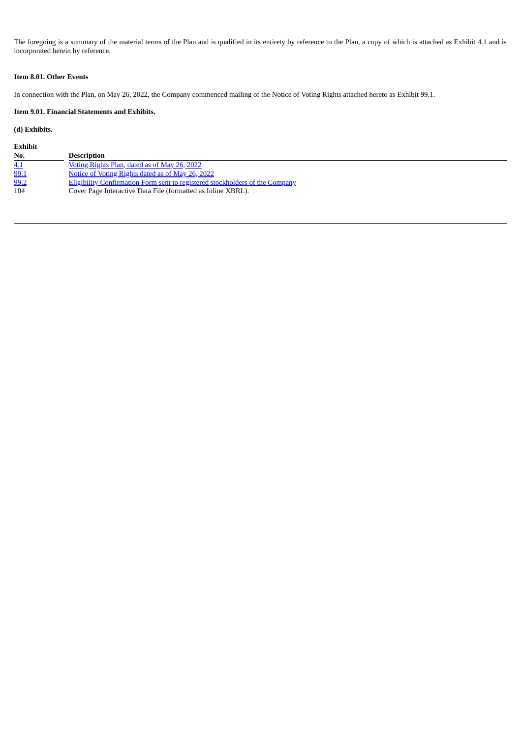The foregoing is a summary of the material terms of the Plan and is qualified in its entirety by reference to the Plan, a copy of which is attached as Exhibit 4.1 and is incorporated herein by reference.

#### **Item 8.01. Other Events**

In connection with the Plan, on May 26, 2022, the Company commenced mailing of the Notice of Voting Rights attached hereto as Exhibit 99.1.

#### **Item 9.01. Financial Statements and Exhibits.**

#### **(d) Exhibits.**

| Exhibit |                                                                              |
|---------|------------------------------------------------------------------------------|
| No.     | Description                                                                  |
| 4.1     | Voting Rights Plan, dated as of May 26, 2022                                 |
| 99.1    | Notice of Voting Rights dated as of May 26, 2022                             |
| 99.2    | Eligibility Confirmation Form sent to registered stockholders of the Company |
| 104     | Cover Page Interactive Data File (formatted as Inline XBRL).                 |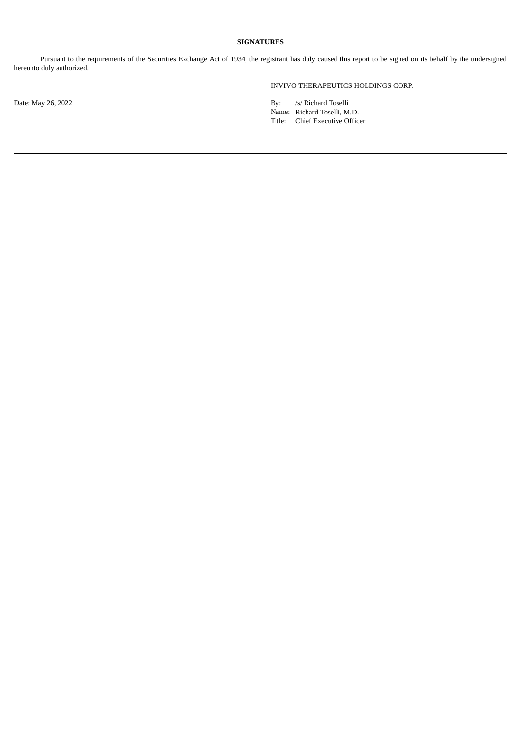#### **SIGNATURES**

Pursuant to the requirements of the Securities Exchange Act of 1934, the registrant has duly caused this report to be signed on its behalf by the undersigned hereunto duly authorized.

INVIVO THERAPEUTICS HOLDINGS CORP.

Date: May 26, 2022 **By:** /s/ Richard Toselli Name: Richard Toselli, M.D.

Title: Chief Executive Officer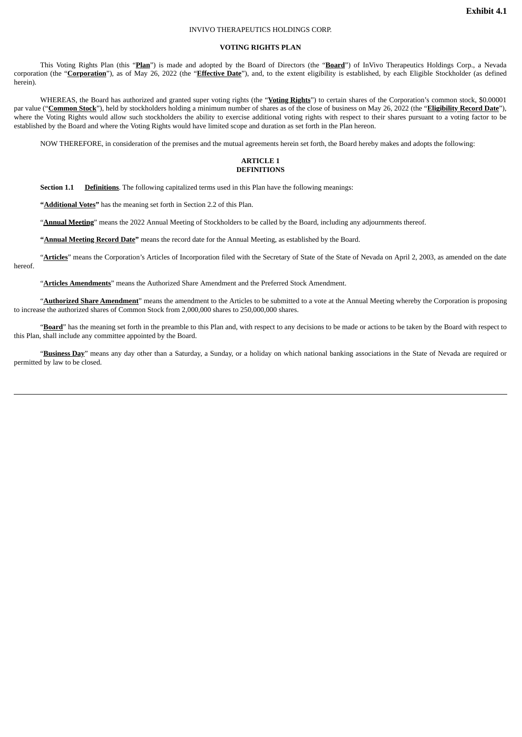#### INVIVO THERAPEUTICS HOLDINGS CORP.

#### **VOTING RIGHTS PLAN**

<span id="page-4-0"></span>This Voting Rights Plan (this "**Plan**") is made and adopted by the Board of Directors (the "**Board**") of InVivo Therapeutics Holdings Corp., a Nevada corporation (the "**Corporation**"), as of May 26, 2022 (the "**Effective Date**"), and, to the extent eligibility is established, by each Eligible Stockholder (as defined herein).

WHEREAS, the Board has authorized and granted super voting rights (the "**Voting Rights**") to certain shares of the Corporation's common stock, \$0.00001 par value ("**Common Stock**"), held by stockholders holding a minimum number of shares as of the close of business on May 26, 2022 (the "**Eligibility Record Date**"), where the Voting Rights would allow such stockholders the ability to exercise additional voting rights with respect to their shares pursuant to a voting factor to be established by the Board and where the Voting Rights would have limited scope and duration as set forth in the Plan hereon.

NOW THEREFORE, in consideration of the premises and the mutual agreements herein set forth, the Board hereby makes and adopts the following:

#### **ARTICLE 1 DEFINITIONS**

**Section 1.1 Definitions**. The following capitalized terms used in this Plan have the following meanings:

**"Additional Votes"** has the meaning set forth in Section 2.2 of this Plan.

"**Annual Meeting**" means the 2022 Annual Meeting of Stockholders to be called by the Board, including any adjournments thereof.

**"Annual Meeting Record Date"** means the record date for the Annual Meeting, as established by the Board.

"**Articles**" means the Corporation's Articles of Incorporation filed with the Secretary of State of the State of Nevada on April 2, 2003, as amended on the date hereof.

"**Articles Amendments**" means the Authorized Share Amendment and the Preferred Stock Amendment.

"**Authorized Share Amendment**" means the amendment to the Articles to be submitted to a vote at the Annual Meeting whereby the Corporation is proposing to increase the authorized shares of Common Stock from 2,000,000 shares to 250,000,000 shares.

"**Board**" has the meaning set forth in the preamble to this Plan and, with respect to any decisions to be made or actions to be taken by the Board with respect to this Plan, shall include any committee appointed by the Board.

"**Business Day**" means any day other than a Saturday, a Sunday, or a holiday on which national banking associations in the State of Nevada are required or permitted by law to be closed.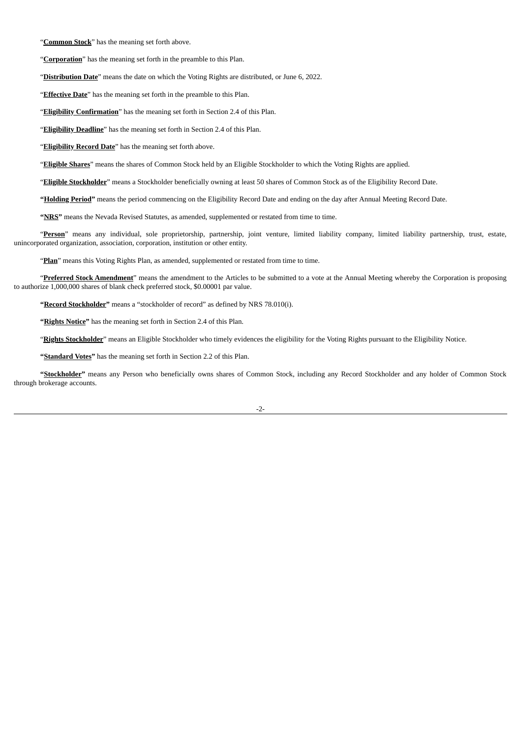"**Common Stock**" has the meaning set forth above.

"**Corporation**" has the meaning set forth in the preamble to this Plan.

"**Distribution Date**" means the date on which the Voting Rights are distributed, or June 6, 2022.

"**Effective Date**" has the meaning set forth in the preamble to this Plan.

"**Eligibility Confirmation**" has the meaning set forth in Section 2.4 of this Plan.

"**Eligibility Deadline**" has the meaning set forth in Section 2.4 of this Plan.

"**Eligibility Record Date**" has the meaning set forth above.

"**Eligible Shares**" means the shares of Common Stock held by an Eligible Stockholder to which the Voting Rights are applied.

"**Eligible Stockholder**" means a Stockholder beneficially owning at least 50 shares of Common Stock as of the Eligibility Record Date.

**"Holding Period"** means the period commencing on the Eligibility Record Date and ending on the day after Annual Meeting Record Date.

**"NRS"** means the Nevada Revised Statutes, as amended, supplemented or restated from time to time.

"**Person**" means any individual, sole proprietorship, partnership, joint venture, limited liability company, limited liability partnership, trust, estate, unincorporated organization, association, corporation, institution or other entity.

"Plan" means this Voting Rights Plan, as amended, supplemented or restated from time to time.

"**Preferred Stock Amendment**" means the amendment to the Articles to be submitted to a vote at the Annual Meeting whereby the Corporation is proposing to authorize 1,000,000 shares of blank check preferred stock, \$0.00001 par value.

**"Record Stockholder"** means a "stockholder of record" as defined by NRS 78.010(i).

**"Rights Notice"** has the meaning set forth in Section 2.4 of this Plan.

"**Rights Stockholder**" means an Eligible Stockholder who timely evidences the eligibility for the Voting Rights pursuant to the Eligibility Notice.

**"Standard Votes"** has the meaning set forth in Section 2.2 of this Plan.

**"Stockholder"** means any Person who beneficially owns shares of Common Stock, including any Record Stockholder and any holder of Common Stock through brokerage accounts.

-2-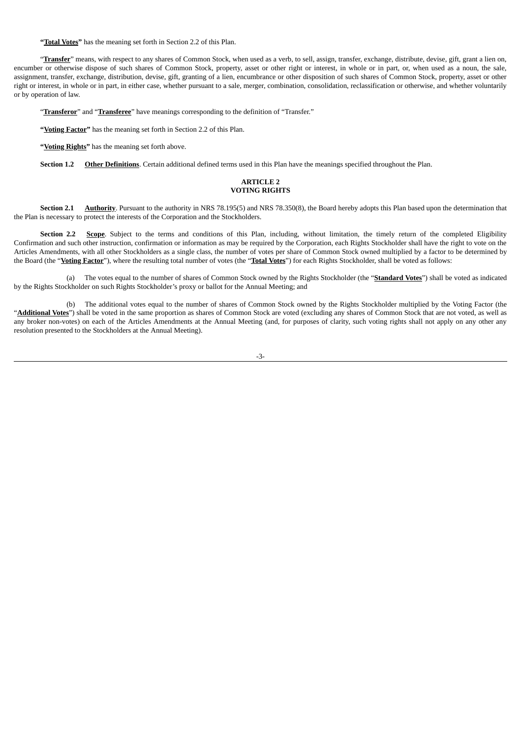**"Total Votes"** has the meaning set forth in Section 2.2 of this Plan.

"**Transfer**" means, with respect to any shares of Common Stock, when used as a verb, to sell, assign, transfer, exchange, distribute, devise, gift, grant a lien on, encumber or otherwise dispose of such shares of Common Stock, property, asset or other right or interest, in whole or in part, or, when used as a noun, the sale, assignment, transfer, exchange, distribution, devise, gift, granting of a lien, encumbrance or other disposition of such shares of Common Stock, property, asset or other right or interest, in whole or in part, in either case, whether pursuant to a sale, merger, combination, consolidation, reclassification or otherwise, and whether voluntarily or by operation of law.

"**Transferor**" and "**Transferee**" have meanings corresponding to the definition of "Transfer."

**"Voting Factor"** has the meaning set forth in Section 2.2 of this Plan.

**"Voting Rights"** has the meaning set forth above.

**Section 1.2 Other Definitions**. Certain additional defined terms used in this Plan have the meanings specified throughout the Plan.

#### **ARTICLE 2 VOTING RIGHTS**

**Section 2.1 Authority**. Pursuant to the authority in NRS 78.195(5) and NRS 78.350(8), the Board hereby adopts this Plan based upon the determination that the Plan is necessary to protect the interests of the Corporation and the Stockholders.

Section 2.2 Scope. Subject to the terms and conditions of this Plan, including, without limitation, the timely return of the completed Eligibility Confirmation and such other instruction, confirmation or information as may be required by the Corporation, each Rights Stockholder shall have the right to vote on the Articles Amendments, with all other Stockholders as a single class, the number of votes per share of Common Stock owned multiplied by a factor to be determined by the Board (the "**Voting Factor**"), where the resulting total number of votes (the "**Total Votes**") for each Rights Stockholder, shall be voted as follows:

(a) The votes equal to the number of shares of Common Stock owned by the Rights Stockholder (the "**Standard Votes**") shall be voted as indicated by the Rights Stockholder on such Rights Stockholder's proxy or ballot for the Annual Meeting; and

(b) The additional votes equal to the number of shares of Common Stock owned by the Rights Stockholder multiplied by the Voting Factor (the "Additional Votes") shall be voted in the same proportion as shares of Common Stock are voted (excluding any shares of Common Stock that are not voted, as well as any broker non-votes) on each of the Articles Amendments at the Annual Meeting (and, for purposes of clarity, such voting rights shall not apply on any other any resolution presented to the Stockholders at the Annual Meeting).

-3-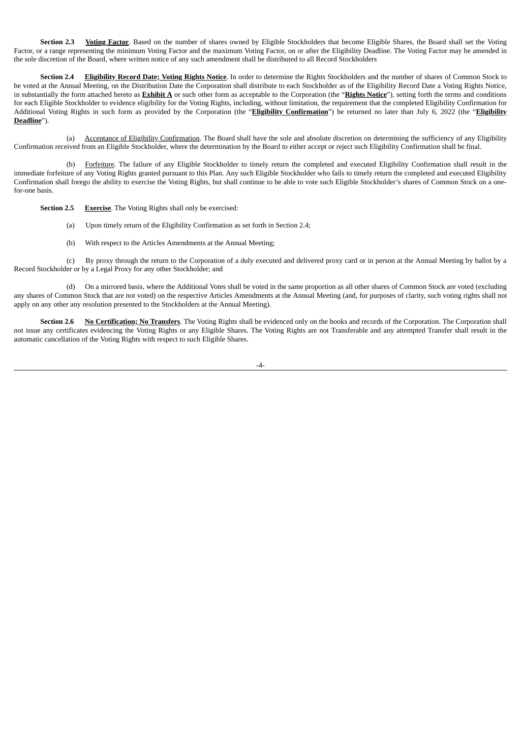**Section 2.3 Voting Factor**. Based on the number of shares owned by Eligible Stockholders that become Eligible Shares, the Board shall set the Voting Factor, or a range representing the minimum Voting Factor and the maximum Voting Factor, on or after the Eligibility Deadline. The Voting Factor may be amended in the sole discretion of the Board, where written notice of any such amendment shall be distributed to all Record Stockholders

**Section 2.4 Eligibility Record Date; Voting Rights Notice**. In order to determine the Rights Stockholders and the number of shares of Common Stock to be voted at the Annual Meeting, on the Distribution Date the Corporation shall distribute to each Stockholder as of the Eligibility Record Date a Voting Rights Notice, in substantially the form attached hereto as **Exhibit A** or such other form as acceptable to the Corporation (the "**Rights Notice**"), setting forth the terms and conditions for each Eligible Stockholder to evidence eligibility for the Voting Rights, including, without limitation, the requirement that the completed Eligibility Confirmation for Additional Voting Rights in such form as provided by the Corporation (the "**Eligibility Confirmation**") be returned no later than July 6, 2022 (the "**Eligibility Deadline**").

(a) Acceptance of Eligibility Confirmation. The Board shall have the sole and absolute discretion on determining the sufficiency of any Eligibility Confirmation received from an Eligible Stockholder, where the determination by the Board to either accept or reject such Eligibility Confirmation shall be final.

(b) Forfeiture. The failure of any Eligible Stockholder to timely return the completed and executed Eligibility Confirmation shall result in the immediate forfeiture of any Voting Rights granted pursuant to this Plan. Any such Eligible Stockholder who fails to timely return the completed and executed Eligibility Confirmation shall forego the ability to exercise the Voting Rights, but shall continue to be able to vote such Eligible Stockholder's shares of Common Stock on a onefor-one basis.

**Section 2.5 Exercise**. The Voting Rights shall only be exercised:

- (a) Upon timely return of the Eligibility Confirmation as set forth in Section 2.4;
- (b) With respect to the Articles Amendments at the Annual Meeting;

(c) By proxy through the return to the Corporation of a duly executed and delivered proxy card or in person at the Annual Meeting by ballot by a Record Stockholder or by a Legal Proxy for any other Stockholder; and

(d) On a mirrored basis, where the Additional Votes shall be voted in the same proportion as all other shares of Common Stock are voted (excluding any shares of Common Stock that are not voted) on the respective Articles Amendments at the Annual Meeting (and, for purposes of clarity, such voting rights shall not apply on any other any resolution presented to the Stockholders at the Annual Meeting).

**Section 2.6 No Certification; No Transfers**. The Voting Rights shall be evidenced only on the books and records of the Corporation. The Corporation shall not issue any certificates evidencing the Voting Rights or any Eligible Shares. The Voting Rights are not Transferable and any attempted Transfer shall result in the automatic cancellation of the Voting Rights with respect to such Eligible Shares.

|--|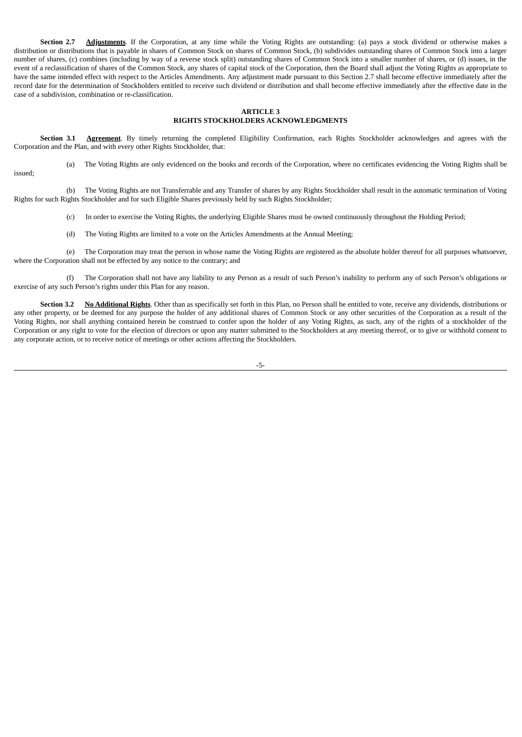**Section 2.7 Adjustments**. If the Corporation, at any time while the Voting Rights are outstanding: (a) pays a stock dividend or otherwise makes a distribution or distributions that is payable in shares of Common Stock on shares of Common Stock, (b) subdivides outstanding shares of Common Stock into a larger number of shares, (c) combines (including by way of a reverse stock split) outstanding shares of Common Stock into a smaller number of shares, or (d) issues, in the event of a reclassification of shares of the Common Stock, any shares of capital stock of the Corporation, then the Board shall adjust the Voting Rights as appropriate to have the same intended effect with respect to the Articles Amendments. Any adjustment made pursuant to this Section 2.7 shall become effective immediately after the record date for the determination of Stockholders entitled to receive such dividend or distribution and shall become effective immediately after the effective date in the case of a subdivision, combination or re-classification.

#### **ARTICLE 3 RIGHTS STOCKHOLDERS ACKNOWLEDGMENTS**

**Section 3.1 Agreement**. By timely returning the completed Eligibility Confirmation, each Rights Stockholder acknowledges and agrees with the Corporation and the Plan, and with every other Rights Stockholder, that:

(a) The Voting Rights are only evidenced on the books and records of the Corporation, where no certificates evidencing the Voting Rights shall be

issued;

(b) The Voting Rights are not Transferrable and any Transfer of shares by any Rights Stockholder shall result in the automatic termination of Voting Rights for such Rights Stockholder and for such Eligible Shares previously held by such Rights Stockholder;

(c) In order to exercise the Voting Rights, the underlying Eligible Shares must be owned continuously throughout the Holding Period;

(d) The Voting Rights are limited to a vote on the Articles Amendments at the Annual Meeting;

(e) The Corporation may treat the person in whose name the Voting Rights are registered as the absolute holder thereof for all purposes whatsoever, where the Corporation shall not be effected by any notice to the contrary; and

(f) The Corporation shall not have any liability to any Person as a result of such Person's inability to perform any of such Person's obligations or exercise of any such Person's rights under this Plan for any reason.

**Section 3.2 No Additional Rights**. Other than as specifically set forth in this Plan, no Person shall be entitled to vote, receive any dividends, distributions or any other property, or be deemed for any purpose the holder of any additional shares of Common Stock or any other securities of the Corporation as a result of the Voting Rights, nor shall anything contained herein be construed to confer upon the holder of any Voting Rights, as such, any of the rights of a stockholder of the Corporation or any right to vote for the election of directors or upon any matter submitted to the Stockholders at any meeting thereof, or to give or withhold consent to any corporate action, or to receive notice of meetings or other actions affecting the Stockholders.

-5-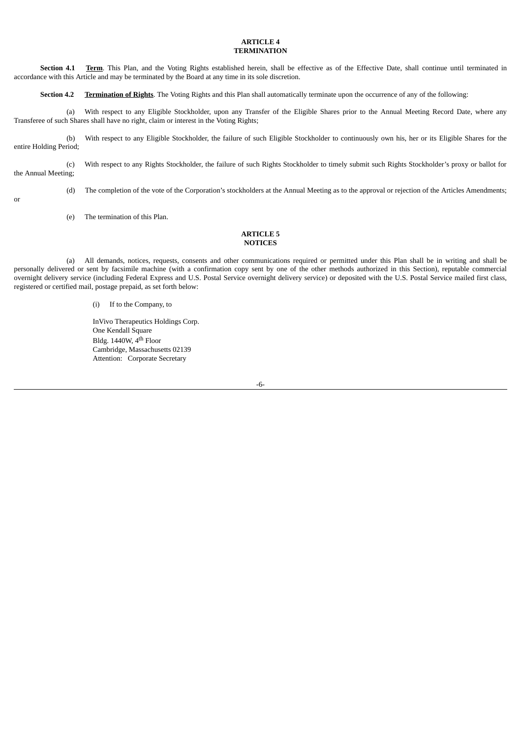#### **ARTICLE 4 TERMINATION**

**Section 4.1 Term**. This Plan, and the Voting Rights established herein, shall be effective as of the Effective Date, shall continue until terminated in accordance with this Article and may be terminated by the Board at any time in its sole discretion.

**Section 4.2 Termination of Rights**. The Voting Rights and this Plan shall automatically terminate upon the occurrence of any of the following:

(a) With respect to any Eligible Stockholder, upon any Transfer of the Eligible Shares prior to the Annual Meeting Record Date, where any Transferee of such Shares shall have no right, claim or interest in the Voting Rights;

(b) With respect to any Eligible Stockholder, the failure of such Eligible Stockholder to continuously own his, her or its Eligible Shares for the entire Holding Period;

(c) With respect to any Rights Stockholder, the failure of such Rights Stockholder to timely submit such Rights Stockholder's proxy or ballot for the Annual Meeting;

(d) The completion of the vote of the Corporation's stockholders at the Annual Meeting as to the approval or rejection of the Articles Amendments;

or

(e) The termination of this Plan.

#### **ARTICLE 5 NOTICES**

(a) All demands, notices, requests, consents and other communications required or permitted under this Plan shall be in writing and shall be personally delivered or sent by facsimile machine (with a confirmation copy sent by one of the other methods authorized in this Section), reputable commercial overnight delivery service (including Federal Express and U.S. Postal Service overnight delivery service) or deposited with the U.S. Postal Service mailed first class, registered or certified mail, postage prepaid, as set forth below:

#### (i) If to the Company, to

InVivo Therapeutics Holdings Corp. One Kendall Square Bldg. 1440W, 4<sup>th</sup> Floor Cambridge, Massachusetts 02139 Attention: Corporate Secretary

-6-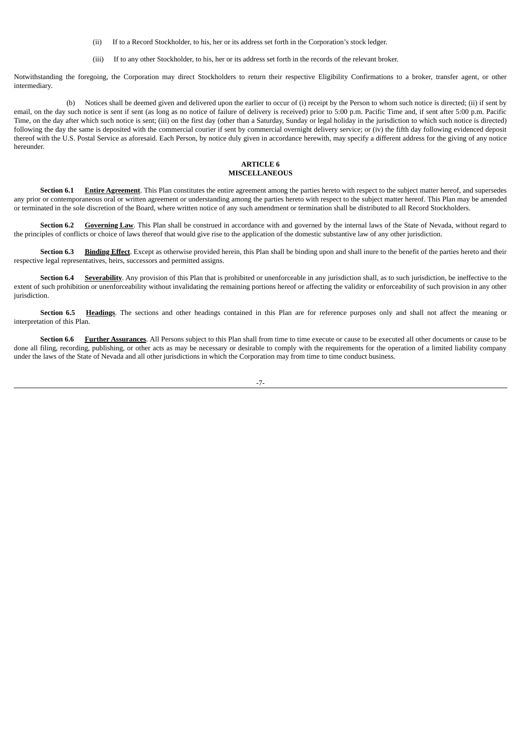- (ii) If to a Record Stockholder, to his, her or its address set forth in the Corporation's stock ledger.
- (iii) If to any other Stockholder, to his, her or its address set forth in the records of the relevant broker.

Notwithstanding the foregoing, the Corporation may direct Stockholders to return their respective Eligibility Confirmations to a broker, transfer agent, or other intermediary.

(b) Notices shall be deemed given and delivered upon the earlier to occur of (i) receipt by the Person to whom such notice is directed; (ii) if sent by email, on the day such notice is sent if sent (as long as no notice of failure of delivery is received) prior to 5:00 p.m. Pacific Time and, if sent after 5:00 p.m. Pacific Time, on the day after which such notice is sent; (iii) on the first day (other than a Saturday, Sunday or legal holiday in the jurisdiction to which such notice is directed) following the day the same is deposited with the commercial courier if sent by commercial overnight delivery service; or (iv) the fifth day following evidenced deposit thereof with the U.S. Postal Service as aforesaid. Each Person, by notice duly given in accordance herewith, may specify a different address for the giving of any notice hereunder.

#### **ARTICLE 6 MISCELLANEOUS**

**Section 6.1 Entire Agreement**. This Plan constitutes the entire agreement among the parties hereto with respect to the subject matter hereof, and supersedes any prior or contemporaneous oral or written agreement or understanding among the parties hereto with respect to the subject matter hereof. This Plan may be amended or terminated in the sole discretion of the Board, where written notice of any such amendment or termination shall be distributed to all Record Stockholders.

**Section 6.2 Governing Law**. This Plan shall be construed in accordance with and governed by the internal laws of the State of Nevada, without regard to the principles of conflicts or choice of laws thereof that would give rise to the application of the domestic substantive law of any other jurisdiction.

**Section 6.3 Binding Effect**. Except as otherwise provided herein, this Plan shall be binding upon and shall inure to the benefit of the parties hereto and their respective legal representatives, heirs, successors and permitted assigns.

**Section 6.4** Severability. Any provision of this Plan that is prohibited or unenforceable in any jurisdiction shall, as to such jurisdiction, be ineffective to the extent of such prohibition or unenforceability without invalidating the remaining portions hereof or affecting the validity or enforceability of such provision in any other jurisdiction.

**Section 6.5 Headings**. The sections and other headings contained in this Plan are for reference purposes only and shall not affect the meaning or interpretation of this Plan.

**Section 6.6 Further Assurances**. All Persons subject to this Plan shall from time to time execute or cause to be executed all other documents or cause to be done all filing, recording, publishing, or other acts as may be necessary or desirable to comply with the requirements for the operation of a limited liability company under the laws of the State of Nevada and all other jurisdictions in which the Corporation may from time to time conduct business.

-7-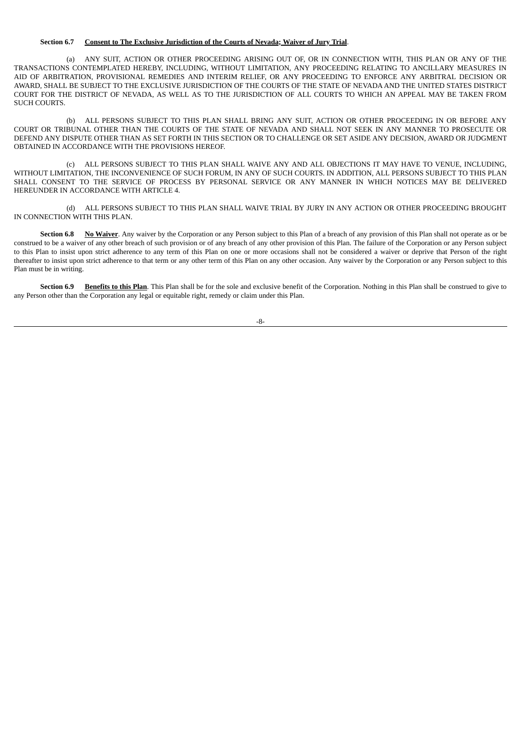#### **Section 6.7 Consent to The Exclusive Jurisdiction of the Courts of Nevada; Waiver of Jury Trial**.

(a) ANY SUIT, ACTION OR OTHER PROCEEDING ARISING OUT OF, OR IN CONNECTION WITH, THIS PLAN OR ANY OF THE TRANSACTIONS CONTEMPLATED HEREBY, INCLUDING, WITHOUT LIMITATION, ANY PROCEEDING RELATING TO ANCILLARY MEASURES IN AID OF ARBITRATION, PROVISIONAL REMEDIES AND INTERIM RELIEF, OR ANY PROCEEDING TO ENFORCE ANY ARBITRAL DECISION OR AWARD, SHALL BE SUBJECT TO THE EXCLUSIVE JURISDICTION OF THE COURTS OF THE STATE OF NEVADAAND THE UNITED STATES DISTRICT COURT FOR THE DISTRICT OF NEVADA, AS WELL AS TO THE JURISDICTION OF ALL COURTS TO WHICH AN APPEAL MAY BE TAKEN FROM SUCH COURTS.

(b) ALL PERSONS SUBJECT TO THIS PLAN SHALL BRING ANY SUIT, ACTION OR OTHER PROCEEDING IN OR BEFORE ANY COURT OR TRIBUNAL OTHER THAN THE COURTS OF THE STATE OF NEVADA AND SHALL NOT SEEK IN ANY MANNER TO PROSECUTE OR DEFEND ANY DISPUTE OTHER THAN AS SET FORTH IN THIS SECTION OR TO CHALLENGE OR SET ASIDE ANY DECISION, AWARD OR JUDGMENT OBTAINED IN ACCORDANCE WITH THE PROVISIONS HEREOF.

(c) ALL PERSONS SUBJECT TO THIS PLAN SHALL WAIVE ANY AND ALL OBJECTIONS IT MAY HAVE TO VENUE, INCLUDING, WITHOUT LIMITATION, THE INCONVENIENCE OF SUCH FORUM, IN ANY OF SUCH COURTS. IN ADDITION, ALL PERSONS SUBJECT TO THIS PLAN SHALL CONSENT TO THE SERVICE OF PROCESS BY PERSONAL SERVICE OR ANY MANNER IN WHICH NOTICES MAY BE DELIVERED HEREUNDER IN ACCORDANCE WITH ARTICLE 4.

(d) ALL PERSONS SUBJECT TO THIS PLAN SHALL WAIVE TRIAL BY JURY IN ANY ACTION OR OTHER PROCEEDING BROUGHT IN CONNECTION WITH THIS PLAN.

Section 6.8 **No Waiver**. Any waiver by the Corporation or any Person subject to this Plan of a breach of any provision of this Plan shall not operate as or be construed to be a waiver of any other breach of such provision or of any breach of any other provision of this Plan. The failure of the Corporation or any Person subject to this Plan to insist upon strict adherence to any term of this Plan on one or more occasions shall not be considered a waiver or deprive that Person of the right thereafter to insist upon strict adherence to that term or any other term of this Plan on any other occasion. Any waiver by the Corporation or any Person subject to this Plan must be in writing.

**Section 6.9 Benefits to this Plan**. This Plan shall be for the sole and exclusive benefit of the Corporation. Nothing in this Plan shall be construed to give to any Person other than the Corporation any legal or equitable right, remedy or claim under this Plan.

-8-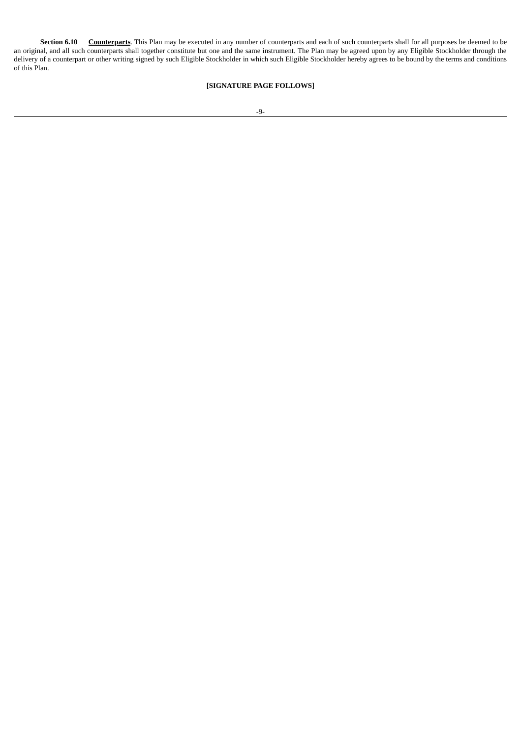**Section 6.10 Counterparts**. This Plan may be executed in any number of counterparts and each of such counterparts shall for all purposes be deemed to be an original, and all such counterparts shall together constitute but one and the same instrument. The Plan may be agreed upon by any Eligible Stockholder through the delivery of a counterpart or other writing signed by such Eligible Stockholder in which such Eligible Stockholder hereby agrees to be bound by the terms and conditions of this Plan.

#### **[SIGNATURE PAGE FOLLOWS]**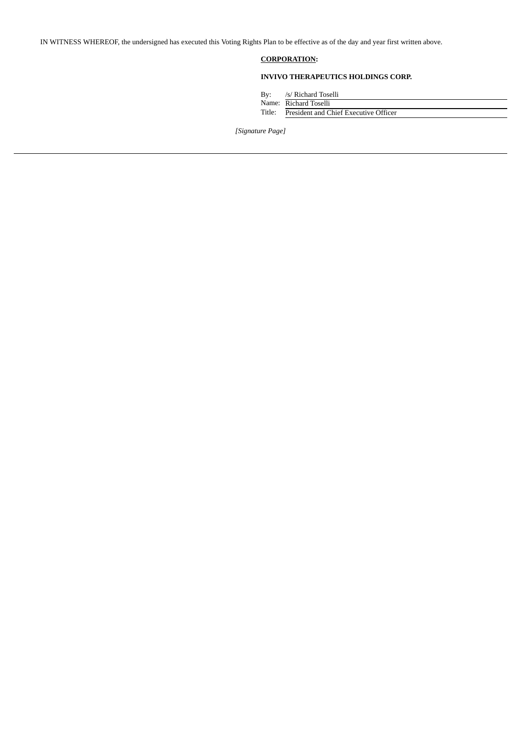IN WITNESS WHEREOF, the undersigned has executed this Voting Rights Plan to be effective as of the day and year first written above.

### **CORPORATION:**

### **INVIVO THERAPEUTICS HOLDINGS CORP.**

By: /s/ Richard Toselli

|        | Name: Richard Toselli                 |
|--------|---------------------------------------|
| Title: | President and Chief Executive Officer |

*[Signature Page]*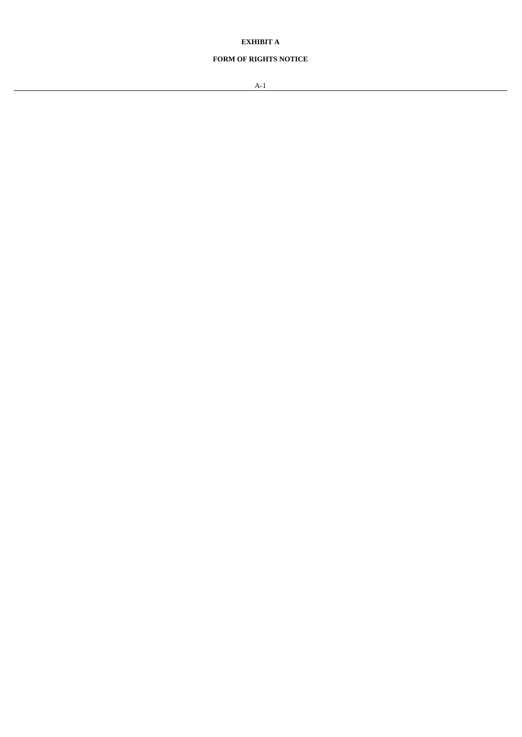### **EXHIBIT A**

### **FORM OF RIGHTS NOTICE**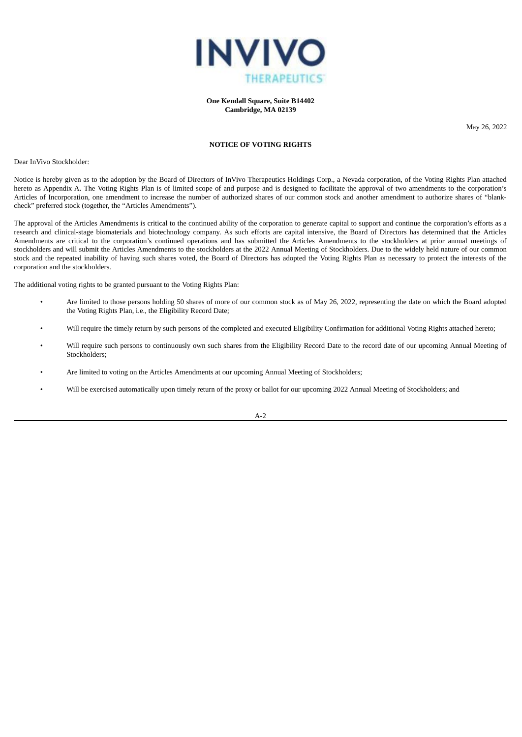

**One Kendall Square, Suite B14402 Cambridge, MA 02139**

May 26, 2022

#### **NOTICE OF VOTING RIGHTS**

Dear InVivo Stockholder:

Notice is hereby given as to the adoption by the Board of Directors of InVivo Therapeutics Holdings Corp., a Nevada corporation, of the Voting Rights Plan attached hereto as Appendix A. The Voting Rights Plan is of limited scope of and purpose and is designed to facilitate the approval of two amendments to the corporation's Articles of Incorporation, one amendment to increase the number of authorized shares of our common stock and another amendment to authorize shares of "blankcheck" preferred stock (together, the "Articles Amendments").

The approval of the Articles Amendments is critical to the continued ability of the corporation to generate capital to support and continue the corporation's efforts as a research and clinical-stage biomaterials and biotechnology company. As such efforts are capital intensive, the Board of Directors has determined that the Articles Amendments are critical to the corporation's continued operations and has submitted the Articles Amendments to the stockholders at prior annual meetings of stockholders and will submit the Articles Amendments to the stockholders at the 2022 Annual Meeting of Stockholders. Due to the widely held nature of our common stock and the repeated inability of having such shares voted, the Board of Directors has adopted the Voting Rights Plan as necessary to protect the interests of the corporation and the stockholders.

The additional voting rights to be granted pursuant to the Voting Rights Plan:

- Are limited to those persons holding 50 shares of more of our common stock as of May 26, 2022, representing the date on which the Board adopted the Voting Rights Plan, i.e., the Eligibility Record Date;
- Will require the timely return by such persons of the completed and executed Eligibility Confirmation for additional Voting Rights attached hereto;
- Will require such persons to continuously own such shares from the Eligibility Record Date to the record date of our upcoming Annual Meeting of Stockholders;
- Are limited to voting on the Articles Amendments at our upcoming Annual Meeting of Stockholders;
- Will be exercised automatically upon timely return of the proxy or ballot for our upcoming 2022 Annual Meeting of Stockholders; and

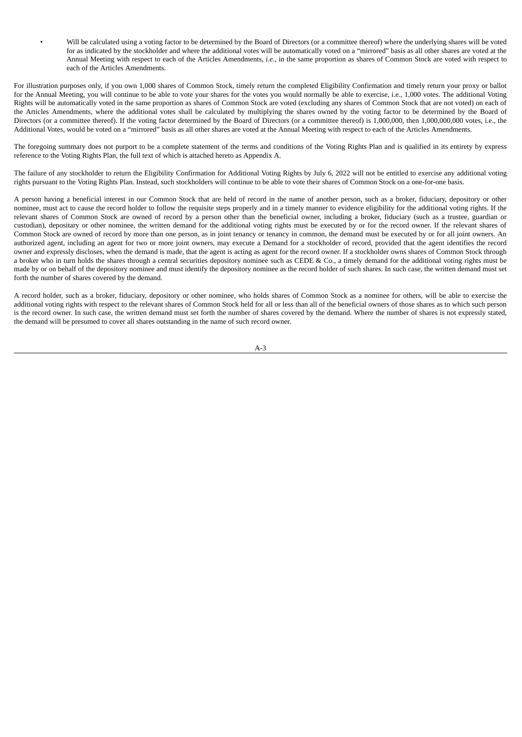• Will be calculated using a voting factor to be determined by the Board of Directors (or a committee thereof) where the underlying shares will be voted for as indicated by the stockholder and where the additional votes will be automatically voted on a "mirrored" basis as all other shares are voted at the Annual Meeting with respect to each of the Articles Amendments, *i.e.*, in the same proportion as shares of Common Stock are voted with respect to each of the Articles Amendments.

For illustration purposes only, if you own 1,000 shares of Common Stock, timely return the completed Eligibility Confirmation and timely return your proxy or ballot for the Annual Meeting, you will continue to be able to vote your shares for the votes you would normally be able to exercise, i.e., 1,000 votes. The additional Voting Rights will be automatically voted in the same proportion as shares of Common Stock are voted (excluding any shares of Common Stock that are not voted) on each of the Articles Amendments, where the additional votes shall be calculated by multiplying the shares owned by the voting factor to be determined by the Board of Directors (or a committee thereof). If the voting factor determined by the Board of Directors (or a committee thereof) is 1,000,000, then 1,000,000,000 votes, i.e., the Additional Votes, would be voted on a "mirrored" basis as all other shares are voted at the Annual Meeting with respect to each of the Articles Amendments.

The foregoing summary does not purport to be a complete statement of the terms and conditions of the Voting Rights Plan and is qualified in its entirety by express reference to the Voting Rights Plan, the full text of which is attached hereto as Appendix A.

The failure of any stockholder to return the Eligibility Confirmation for Additional Voting Rights by July 6, 2022 will not be entitled to exercise any additional voting rights pursuant to the Voting Rights Plan. Instead, such stockholders will continue to be able to vote their shares of Common Stock on a one-for-one basis.

A person having a beneficial interest in our Common Stock that are held of record in the name of another person, such as a broker, fiduciary, depository or other nominee, must act to cause the record holder to follow the requisite steps properly and in a timely manner to evidence eligibility for the additional voting rights. If the relevant shares of Common Stock are owned of record by a person other than the beneficial owner, including a broker, fiduciary (such as a trustee, guardian or custodian), depositary or other nominee, the written demand for the additional voting rights must be executed by or for the record owner. If the relevant shares of Common Stock are owned of record by more than one person, as in joint tenancy or tenancy in common, the demand must be executed by or for all joint owners. An authorized agent, including an agent for two or more joint owners, may execute a Demand for a stockholder of record, provided that the agent identifies the record owner and expressly discloses, when the demand is made, that the agent is acting as agent for the record owner. If a stockholder owns shares of Common Stock through a broker who in turn holds the shares through a central securities depository nominee such as CEDE & Co., a timely demand for the additional voting rights must be made by or on behalf of the depository nominee and must identify the depository nominee as the record holder of such shares. In such case, the written demand must set forth the number of shares covered by the demand.

A record holder, such as a broker, fiduciary, depository or other nominee, who holds shares of Common Stock as a nominee for others, will be able to exercise the additional voting rights with respect to the relevant shares of Common Stock held for all or less than all of the beneficial owners of those shares as to which such person is the record owner. In such case, the written demand must set forth the number of shares covered by the demand. Where the number of shares is not expressly stated, the demand will be presumed to cover all shares outstanding in the name of such record owner.

A-3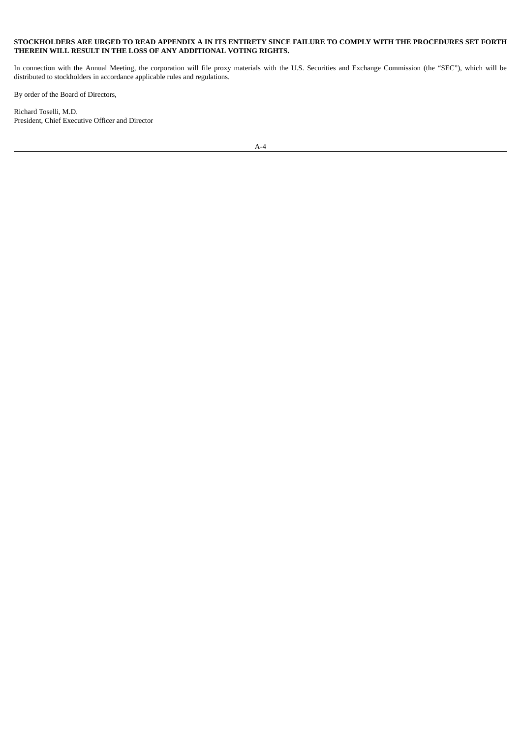#### STOCKHOLDERS ARE URGED TO READ APPENDIX A IN ITS ENTIRETY SINCE FAILURE TO COMPLY WITH THE PROCEDURES SET FORTH **THEREIN WILL RESULT IN THE LOSS OF ANY ADDITIONAL VOTING RIGHTS.**

In connection with the Annual Meeting, the corporation will file proxy materials with the U.S. Securities and Exchange Commission (the "SEC"), which will be distributed to stockholders in accordance applicable rules and regulations.

By order of the Board of Directors,

Richard Toselli, M.D. President, Chief Executive Officer and Director

A-4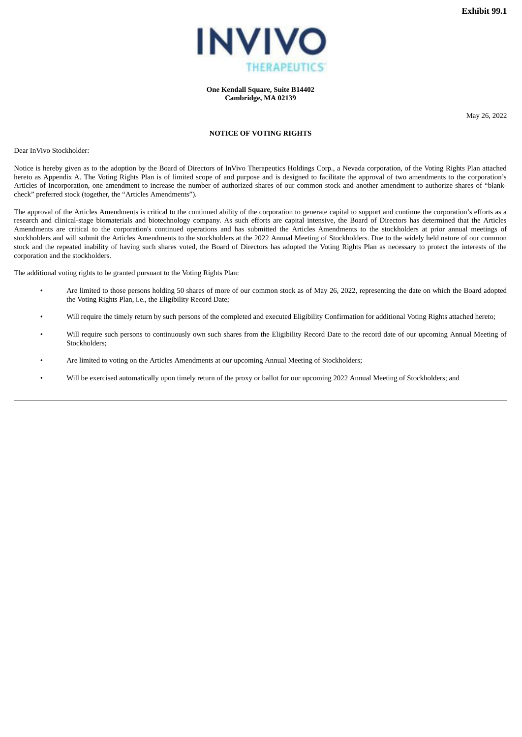

**One Kendall Square, Suite B14402 Cambridge, MA 02139**

May 26, 2022

#### **NOTICE OF VOTING RIGHTS**

<span id="page-18-0"></span>Dear InVivo Stockholder:

Notice is hereby given as to the adoption by the Board of Directors of InVivo Therapeutics Holdings Corp., a Nevada corporation, of the Voting Rights Plan attached hereto as Appendix A. The Voting Rights Plan is of limited scope of and purpose and is designed to facilitate the approval of two amendments to the corporation's Articles of Incorporation, one amendment to increase the number of authorized shares of our common stock and another amendment to authorize shares of "blankcheck" preferred stock (together, the "Articles Amendments").

The approval of the Articles Amendments is critical to the continued ability of the corporation to generate capital to support and continue the corporation's efforts as a research and clinical-stage biomaterials and biotechnology company. As such efforts are capital intensive, the Board of Directors has determined that the Articles Amendments are critical to the corporation's continued operations and has submitted the Articles Amendments to the stockholders at prior annual meetings of stockholders and will submit the Articles Amendments to the stockholders at the 2022 Annual Meeting of Stockholders. Due to the widely held nature of our common stock and the repeated inability of having such shares voted, the Board of Directors has adopted the Voting Rights Plan as necessary to protect the interests of the corporation and the stockholders.

The additional voting rights to be granted pursuant to the Voting Rights Plan:

- Are limited to those persons holding 50 shares of more of our common stock as of May 26, 2022, representing the date on which the Board adopted the Voting Rights Plan, i.e., the Eligibility Record Date;
- Will require the timely return by such persons of the completed and executed Eligibility Confirmation for additional Voting Rights attached hereto;
- Will require such persons to continuously own such shares from the Eligibility Record Date to the record date of our upcoming Annual Meeting of Stockholders;
- Are limited to voting on the Articles Amendments at our upcoming Annual Meeting of Stockholders;
- Will be exercised automatically upon timely return of the proxy or ballot for our upcoming 2022 Annual Meeting of Stockholders; and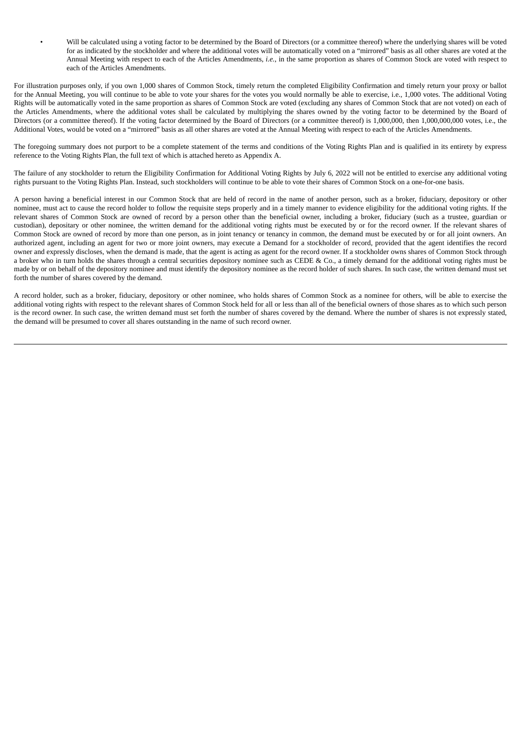• Will be calculated using a voting factor to be determined by the Board of Directors (or a committee thereof) where the underlying shares will be voted for as indicated by the stockholder and where the additional votes will be automatically voted on a "mirrored" basis as all other shares are voted at the Annual Meeting with respect to each of the Articles Amendments, *i.e.*, in the same proportion as shares of Common Stock are voted with respect to each of the Articles Amendments.

For illustration purposes only, if you own 1,000 shares of Common Stock, timely return the completed Eligibility Confirmation and timely return your proxy or ballot for the Annual Meeting, you will continue to be able to vote your shares for the votes you would normally be able to exercise, i.e., 1,000 votes. The additional Voting Rights will be automatically voted in the same proportion as shares of Common Stock are voted (excluding any shares of Common Stock that are not voted) on each of the Articles Amendments, where the additional votes shall be calculated by multiplying the shares owned by the voting factor to be determined by the Board of Directors (or a committee thereof). If the voting factor determined by the Board of Directors (or a committee thereof) is 1,000,000, then 1,000,000,000 votes, i.e., the Additional Votes, would be voted on a "mirrored" basis as all other shares are voted at the Annual Meeting with respect to each of the Articles Amendments.

The foregoing summary does not purport to be a complete statement of the terms and conditions of the Voting Rights Plan and is qualified in its entirety by express reference to the Voting Rights Plan, the full text of which is attached hereto as Appendix A.

The failure of any stockholder to return the Eligibility Confirmation for Additional Voting Rights by July 6, 2022 will not be entitled to exercise any additional voting rights pursuant to the Voting Rights Plan. Instead, such stockholders will continue to be able to vote their shares of Common Stock on a one-for-one basis.

A person having a beneficial interest in our Common Stock that are held of record in the name of another person, such as a broker, fiduciary, depository or other nominee, must act to cause the record holder to follow the requisite steps properly and in a timely manner to evidence eligibility for the additional voting rights. If the relevant shares of Common Stock are owned of record by a person other than the beneficial owner, including a broker, fiduciary (such as a trustee, guardian or custodian), depositary or other nominee, the written demand for the additional voting rights must be executed by or for the record owner. If the relevant shares of Common Stock are owned of record by more than one person, as in joint tenancy or tenancy in common, the demand must be executed by or for all joint owners. An authorized agent, including an agent for two or more joint owners, may execute a Demand for a stockholder of record, provided that the agent identifies the record owner and expressly discloses, when the demand is made, that the agent is acting as agent for the record owner. If a stockholder owns shares of Common Stock through a broker who in turn holds the shares through a central securities depository nominee such as CEDE & Co., a timely demand for the additional voting rights must be made by or on behalf of the depository nominee and must identify the depository nominee as the record holder of such shares. In such case, the written demand must set forth the number of shares covered by the demand.

A record holder, such as a broker, fiduciary, depository or other nominee, who holds shares of Common Stock as a nominee for others, will be able to exercise the additional voting rights with respect to the relevant shares of Common Stock held for all or less than all of the beneficial owners of those shares as to which such person is the record owner. In such case, the written demand must set forth the number of shares covered by the demand. Where the number of shares is not expressly stated, the demand will be presumed to cover all shares outstanding in the name of such record owner.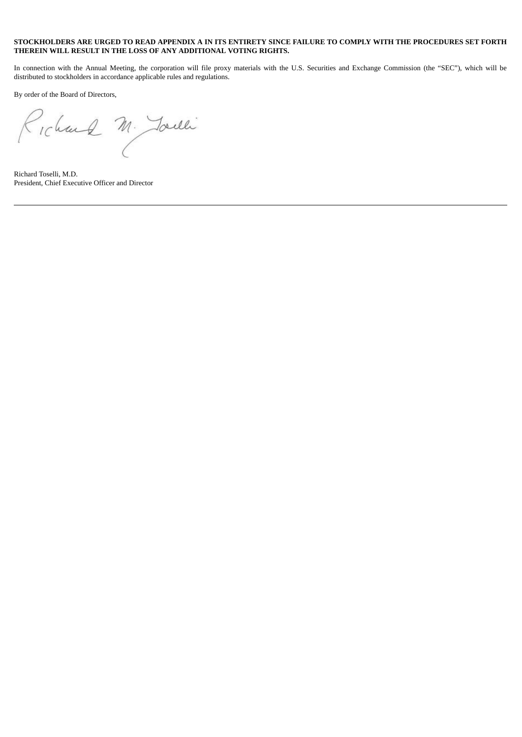#### STOCKHOLDERS ARE URGED TO READ APPENDIX A IN ITS ENTIRETY SINCE FAILURE TO COMPLY WITH THE PROCEDURES SET FORTH **THEREIN WILL RESULT IN THE LOSS OF ANY ADDITIONAL VOTING RIGHTS.**

In connection with the Annual Meeting, the corporation will file proxy materials with the U.S. Securities and Exchange Commission (the "SEC"), which will be distributed to stockholders in accordance applicable rules and regulations.

By order of the Board of Directors,

Richard M. Joule

Richard Toselli, M.D. President, Chief Executive Officer and Director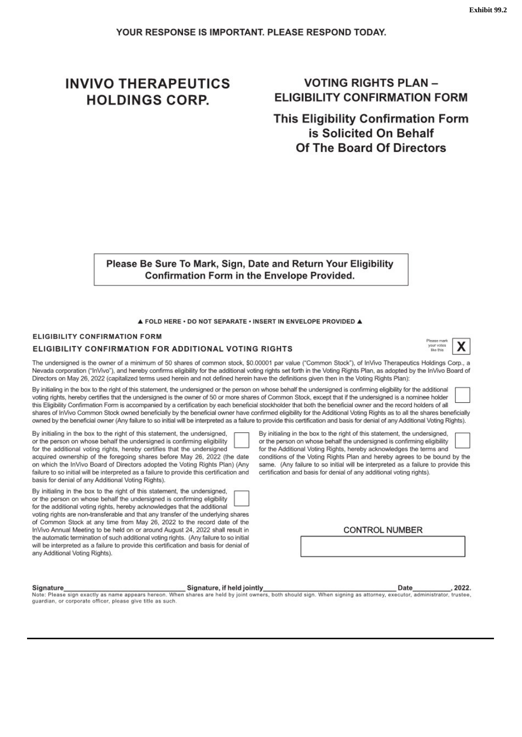# <span id="page-21-0"></span>**INVIVO THERAPEUTICS HOLDINGS CORP.**

# **VOTING RIGHTS PLAN-ELIGIBILITY CONFIRMATION FORM**

**This Eligibility Confirmation Form** is Solicited On Behalf Of The Board Of Directors

Please Be Sure To Mark, Sign, Date and Return Your Eligibility **Confirmation Form in the Envelope Provided.** 

A FOLD HERE . DO NOT SEPARATE . INSERT IN ENVELOPE PROVIDED A

#### **ELIGIBILITY CONFIRMATION FORM**

#### ELIGIBILITY CONFIRMATION FOR ADDITIONAL VOTING RIGHTS

The undersigned is the owner of a minimum of 50 shares of common stock, \$0.00001 par value ("Common Stock"), of InVivo Therapeutics Holdings Corp., a Nevada corporation ("InVivo"), and hereby confirms eligibility for the additional voting rights set forth in the Voting Rights Plan, as adopted by the InVivo Board of Directors on May 26, 2022 (capitalized terms used herein and not defined herein have the definitions given then in the Voting Rights Plan):

By initialing in the box to the right of this statement, the undersigned or the person on whose behalf the undersigned is confirming eligibility for the additional voting rights, hereby certifies that the undersigned is the owner of 50 or more shares of Common Stock, except that if the undersigned is a nominee holder this Eligibility Confirmation Form is accompanied by a certification by each beneficial stockholder that both the beneficial owner and the record holders of all shares of InVivo Common Stock owned beneficially by the beneficial owner have confirmed eligibility for the Additional Voting Rights as to all the shares beneficially owned by the beneficial owner (Any failure to so initial will be interpreted as a failure to provide this certification and basis for denial of any Additional Voting Rights).

By initialing in the box to the right of this statement, the undersigned, or the person on whose behalf the undersigned is confirming eligibility

for the additional voting rights, hereby certifies that the undersigned acquired ownership of the foregoing shares before May 26, 2022 (the date on which the InVivo Board of Directors adopted the Voting Rights Plan) (Any failure to so initial will be interpreted as a failure to provide this certification and basis for denial of any Additional Voting Rights).

By initialing in the box to the right of this statement, the undersigned, or the person on whose behalf the undersigned is confirming eligibility for the additional voting rights, hereby acknowledges that the additional

voting rights are non-transferable and that any transfer of the underlying shares of Common Stock at any time from May 26, 2022 to the record date of the InVivo Annual Meeting to be held on or around August 24, 2022 shall result in the automatic termination of such additional voting rights. (Any failure to so initial will be interpreted as a failure to provide this certification and basis for denial of any Additional Voting Rights).

By initialing in the box to the right of this statement, the undersigned. or the person on whose behalf the undersigned is confirming eligibility for the Additional Voting Rights, hereby acknowledges the terms and conditions of the Voting Rights Plan and hereby agrees to be bound by the

same. (Any failure to so initial will be interpreted as a failure to provide this certification and basis for denial of any additional voting rights).

**CONTROL NUMBER** 

guardian, or corporate officer, please give title as such.





2022.